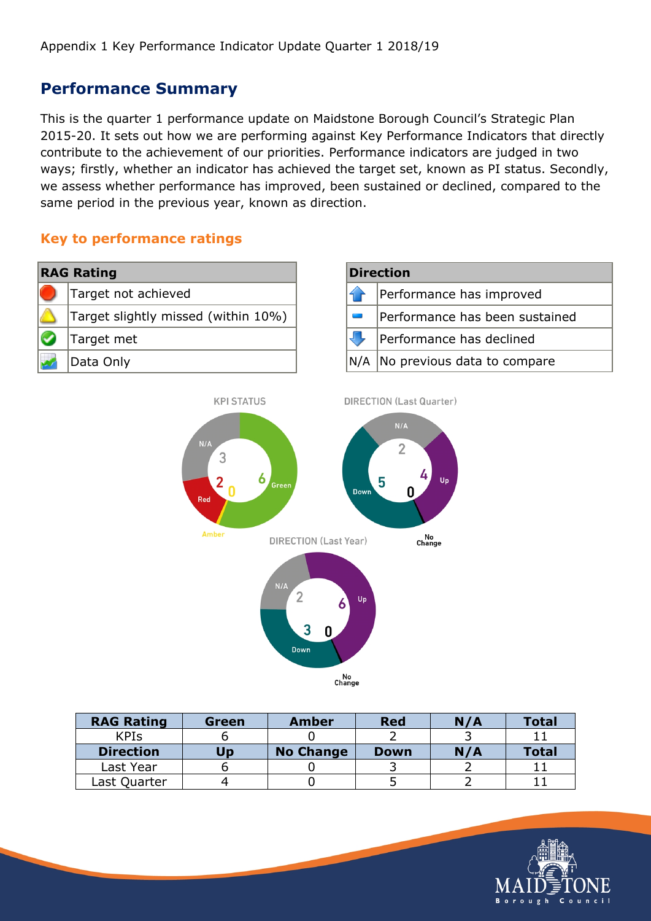**KPI STATUS** 

#### **Performance Summary**

This is the quarter 1 performance update on Maidstone Borough Council's Strategic Plan 2015-20. It sets out how we are performing against Key Performance Indicators that directly contribute to the achievement of our priorities. Performance indicators are judged in two ways; firstly, whether an indicator has achieved the target set, known as PI status. Secondly, we assess whether performance has improved, been sustained or declined, compared to the same period in the previous year, known as direction.

#### **Key to performance ratings**

| <b>RAG Rating</b> |                                     | <b>Direction</b> |                                 |  |  |
|-------------------|-------------------------------------|------------------|---------------------------------|--|--|
|                   | Target not achieved                 |                  | Performance has improved        |  |  |
|                   | Target slightly missed (within 10%) |                  | Performance has been sustained  |  |  |
|                   | Farget met                          |                  | Performance has declined        |  |  |
|                   | Data Only                           |                  | N/A No previous data to compare |  |  |
|                   |                                     |                  |                                 |  |  |





| <b>RAG Rating</b> | Green | Amber            | <b>Red</b> | N/A | <b>Total</b> |
|-------------------|-------|------------------|------------|-----|--------------|
| <b>KPIS</b>       |       |                  |            |     |              |
| <b>Direction</b>  | Up    | <b>No Change</b> | Down       | N/A | <b>Total</b> |
| Last Year         |       |                  |            |     |              |
| Last Quarter      |       |                  |            |     |              |

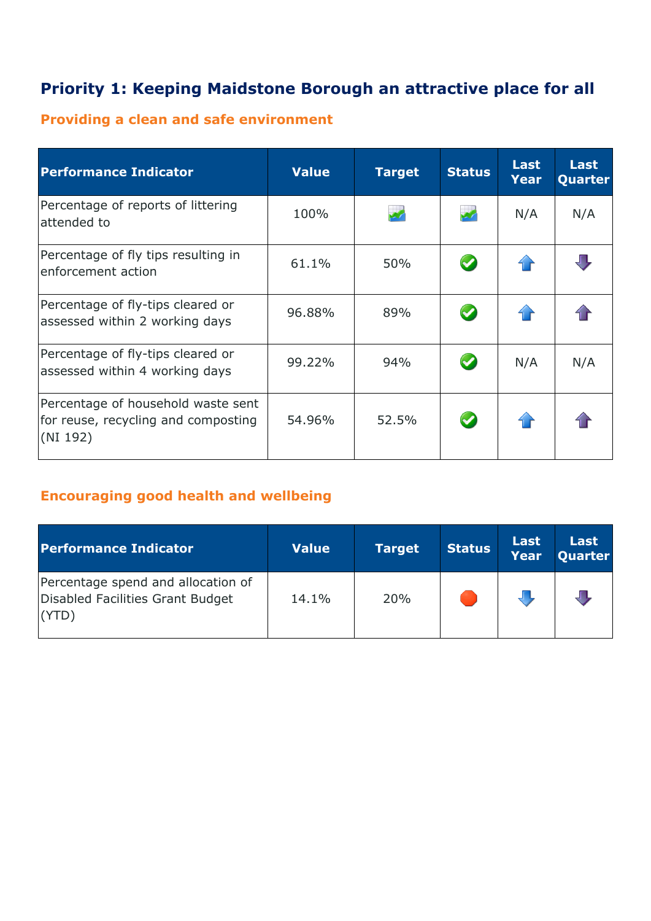## **Priority 1: Keeping Maidstone Borough an attractive place for all**

## **Providing a clean and safe environment**

| <b>Performance Indicator</b>                                                          | <b>Value</b> | <b>Target</b> | <b>Status</b>        | <b>Last</b><br><b>Year</b> | Last<br><b>Quarter</b> |
|---------------------------------------------------------------------------------------|--------------|---------------|----------------------|----------------------------|------------------------|
| Percentage of reports of littering<br>attended to                                     | 100%         |               |                      | N/A                        | N/A                    |
| Percentage of fly tips resulting in<br>enforcement action                             | 61.1%        | 50%           |                      |                            |                        |
| Percentage of fly-tips cleared or<br>assessed within 2 working days                   | 96.88%       | 89%           |                      |                            |                        |
| Percentage of fly-tips cleared or<br>assessed within 4 working days                   | 99.22%       | 94%           | $\blacktriangledown$ | N/A                        | N/A                    |
| Percentage of household waste sent<br>for reuse, recycling and composting<br>(NI 192) | 54.96%       | 52.5%         | $\bullet$            |                            |                        |

#### **Encouraging good health and wellbeing**

| <b>Performance Indicator</b>                                                   | <b>Value</b> | <b>Target</b> | <b>Status</b> | Last<br>Year | <b>Last</b><br>Quarter |
|--------------------------------------------------------------------------------|--------------|---------------|---------------|--------------|------------------------|
| Percentage spend and allocation of<br>Disabled Facilities Grant Budget<br>(YTD | 14.1%        | 20%           |               |              |                        |